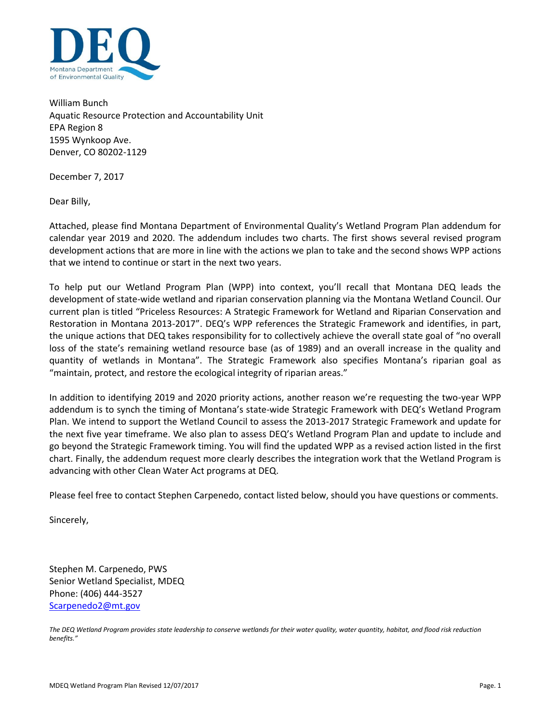

William Bunch Aquatic Resource Protection and Accountability Unit EPA Region 8 1595 Wynkoop Ave. Denver, CO 80202-1129

December 7, 2017

Dear Billy,

Attached, please find Montana Department of Environmental Quality's Wetland Program Plan addendum for calendar year 2019 and 2020. The addendum includes two charts. The first shows several revised program development actions that are more in line with the actions we plan to take and the second shows WPP actions that we intend to continue or start in the next two years.

To help put our Wetland Program Plan (WPP) into context, you'll recall that Montana DEQ leads the development of state-wide wetland and riparian conservation planning via the Montana Wetland Council. Our current plan is titled "Priceless Resources: A Strategic Framework for Wetland and Riparian Conservation and Restoration in Montana 2013-2017". DEQ's WPP references the Strategic Framework and identifies, in part, the unique actions that DEQ takes responsibility for to collectively achieve the overall state goal of "no overall loss of the state's remaining wetland resource base (as of 1989) and an overall increase in the quality and quantity of wetlands in Montana". The Strategic Framework also specifies Montana's riparian goal as "maintain, protect, and restore the ecological integrity of riparian areas."

In addition to identifying 2019 and 2020 priority actions, another reason we're requesting the two-year WPP addendum is to synch the timing of Montana's state-wide Strategic Framework with DEQ's Wetland Program Plan. We intend to support the Wetland Council to assess the 2013-2017 Strategic Framework and update for the next five year timeframe. We also plan to assess DEQ's Wetland Program Plan and update to include and go beyond the Strategic Framework timing. You will find the updated WPP as a revised action listed in the first chart. Finally, the addendum request more clearly describes the integration work that the Wetland Program is advancing with other Clean Water Act programs at DEQ.

Please feel free to contact Stephen Carpenedo, contact listed below, should you have questions or comments.

Sincerely,

Stephen M. Carpenedo, PWS Senior Wetland Specialist, MDEQ Phone: (406) 444-3527 [Scarpenedo2@mt.gov](mailto:Scarpenedo2@mt.gov)

*The DEQ Wetland Program provides state leadership to conserve wetlands for their water quality, water quantity, habitat, and flood risk reduction benefits."*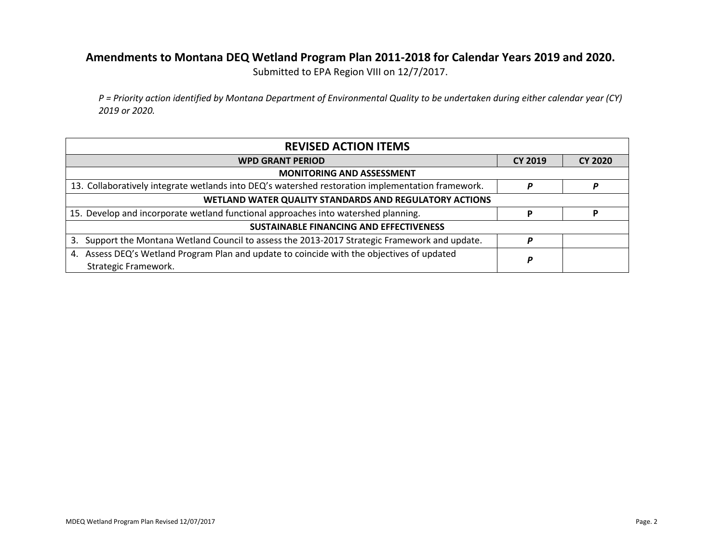## **Amendments to Montana DEQ Wetland Program Plan 2011-2018 for Calendar Years 2019 and 2020.**

Submitted to EPA Region VIII on 12/7/2017.

*P = Priority action identified by Montana Department of Environmental Quality to be undertaken during either calendar year (CY) 2019 or 2020.*

| <b>REVISED ACTION ITEMS</b>                                                                                        |                |                |  |  |
|--------------------------------------------------------------------------------------------------------------------|----------------|----------------|--|--|
| <b>WPD GRANT PERIOD</b>                                                                                            | <b>CY 2019</b> | <b>CY 2020</b> |  |  |
| <b>MONITORING AND ASSESSMENT</b>                                                                                   |                |                |  |  |
| 13. Collaboratively integrate wetlands into DEQ's watershed restoration implementation framework.                  | P              |                |  |  |
| WETLAND WATER QUALITY STANDARDS AND REGULATORY ACTIONS                                                             |                |                |  |  |
| 15. Develop and incorporate wetland functional approaches into watershed planning.                                 | р              |                |  |  |
| SUSTAINABLE FINANCING AND EFFECTIVENESS                                                                            |                |                |  |  |
| Support the Montana Wetland Council to assess the 2013-2017 Strategic Framework and update.<br>3.                  | P              |                |  |  |
| 4. Assess DEQ's Wetland Program Plan and update to coincide with the objectives of updated<br>Strategic Framework. | P              |                |  |  |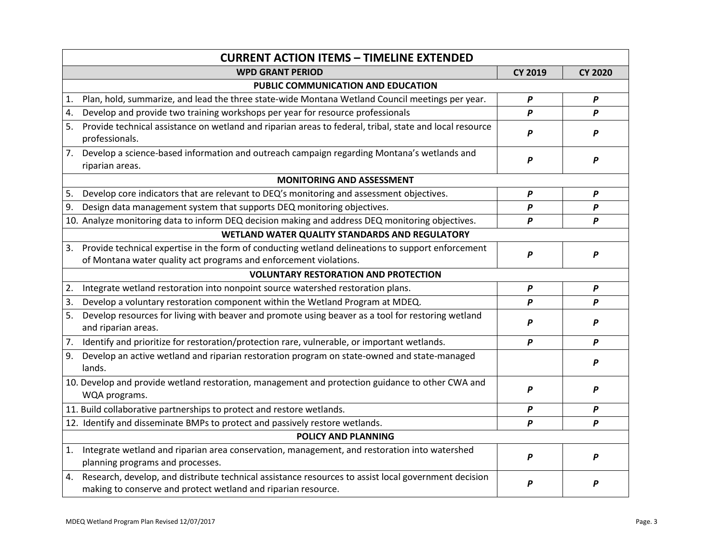|                            | <b>CURRENT ACTION ITEMS - TIMELINE EXTENDED</b>                                                                                                                        |                  |                  |  |  |  |
|----------------------------|------------------------------------------------------------------------------------------------------------------------------------------------------------------------|------------------|------------------|--|--|--|
|                            | <b>WPD GRANT PERIOD</b>                                                                                                                                                | <b>CY 2019</b>   | <b>CY 2020</b>   |  |  |  |
|                            | PUBLIC COMMUNICATION AND EDUCATION                                                                                                                                     |                  |                  |  |  |  |
| 1.                         | Plan, hold, summarize, and lead the three state-wide Montana Wetland Council meetings per year.                                                                        | P                | $\boldsymbol{P}$ |  |  |  |
| 4.                         | Develop and provide two training workshops per year for resource professionals                                                                                         | P                | P                |  |  |  |
| 5.                         | Provide technical assistance on wetland and riparian areas to federal, tribal, state and local resource<br>professionals.                                              | P                | P                |  |  |  |
| 7.                         | Develop a science-based information and outreach campaign regarding Montana's wetlands and<br>riparian areas.                                                          | $\boldsymbol{P}$ | P                |  |  |  |
|                            | <b>MONITORING AND ASSESSMENT</b>                                                                                                                                       |                  |                  |  |  |  |
| 5.                         | Develop core indicators that are relevant to DEQ's monitoring and assessment objectives.                                                                               | P                | P                |  |  |  |
| 9.                         | Design data management system that supports DEQ monitoring objectives.                                                                                                 | P                | P                |  |  |  |
|                            | 10. Analyze monitoring data to inform DEQ decision making and address DEQ monitoring objectives.                                                                       | P                | $\boldsymbol{P}$ |  |  |  |
|                            | WETLAND WATER QUALITY STANDARDS AND REGULATORY                                                                                                                         |                  |                  |  |  |  |
| 3.                         | Provide technical expertise in the form of conducting wetland delineations to support enforcement<br>of Montana water quality act programs and enforcement violations. | P                | P                |  |  |  |
|                            | <b>VOLUNTARY RESTORATION AND PROTECTION</b>                                                                                                                            |                  |                  |  |  |  |
| 2.                         | Integrate wetland restoration into nonpoint source watershed restoration plans.                                                                                        | P                | $\boldsymbol{P}$ |  |  |  |
| 3.                         | Develop a voluntary restoration component within the Wetland Program at MDEQ.                                                                                          | P                | P                |  |  |  |
| 5.                         | Develop resources for living with beaver and promote using beaver as a tool for restoring wetland<br>and riparian areas.                                               | P                | P                |  |  |  |
| 7.                         | Identify and prioritize for restoration/protection rare, vulnerable, or important wetlands.                                                                            | P                | P                |  |  |  |
| 9.                         | Develop an active wetland and riparian restoration program on state-owned and state-managed<br>lands.                                                                  |                  | P                |  |  |  |
|                            | 10. Develop and provide wetland restoration, management and protection guidance to other CWA and<br>WQA programs.                                                      | P                | P                |  |  |  |
|                            | 11. Build collaborative partnerships to protect and restore wetlands.                                                                                                  | P                | P                |  |  |  |
|                            | 12. Identify and disseminate BMPs to protect and passively restore wetlands.                                                                                           | P                | P                |  |  |  |
| <b>POLICY AND PLANNING</b> |                                                                                                                                                                        |                  |                  |  |  |  |
| 1.                         | Integrate wetland and riparian area conservation, management, and restoration into watershed<br>planning programs and processes.                                       | P                | P                |  |  |  |
| 4.                         | Research, develop, and distribute technical assistance resources to assist local government decision<br>making to conserve and protect wetland and riparian resource.  | P                | P                |  |  |  |